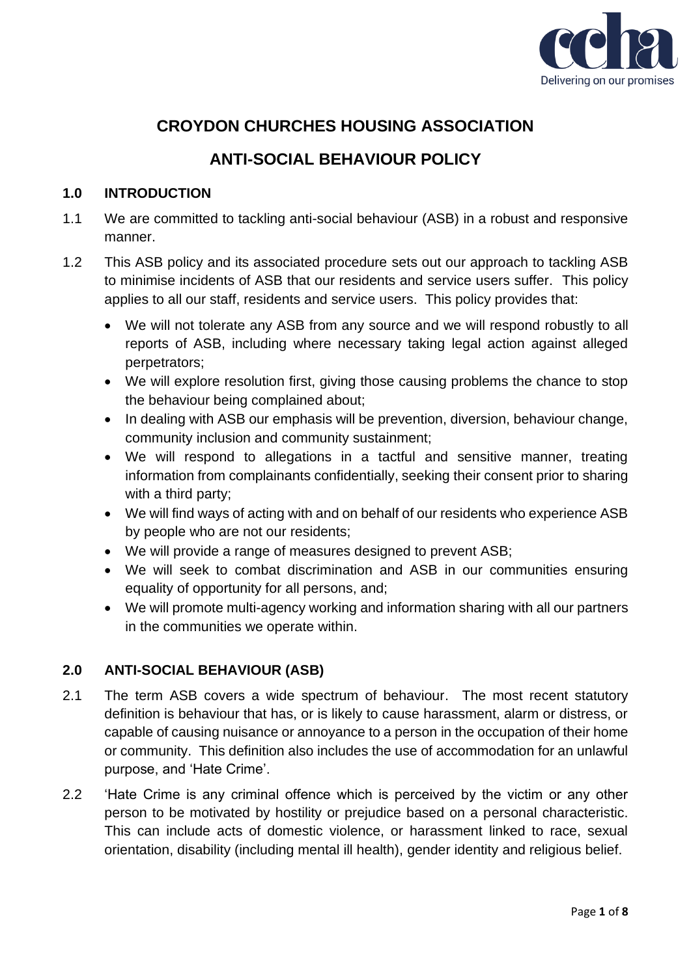

# **CROYDON CHURCHES HOUSING ASSOCIATION**

# **ANTI-SOCIAL BEHAVIOUR POLICY**

## **1.0 INTRODUCTION**

- 1.1 We are committed to tackling anti-social behaviour (ASB) in a robust and responsive manner.
- 1.2 This ASB policy and its associated procedure sets out our approach to tackling ASB to minimise incidents of ASB that our residents and service users suffer. This policy applies to all our staff, residents and service users. This policy provides that:
	- We will not tolerate any ASB from any source and we will respond robustly to all reports of ASB, including where necessary taking legal action against alleged perpetrators;
	- We will explore resolution first, giving those causing problems the chance to stop the behaviour being complained about;
	- In dealing with ASB our emphasis will be prevention, diversion, behaviour change, community inclusion and community sustainment;
	- We will respond to allegations in a tactful and sensitive manner, treating information from complainants confidentially, seeking their consent prior to sharing with a third party;
	- We will find ways of acting with and on behalf of our residents who experience ASB by people who are not our residents;
	- We will provide a range of measures designed to prevent ASB;
	- We will seek to combat discrimination and ASB in our communities ensuring equality of opportunity for all persons, and;
	- We will promote multi-agency working and information sharing with all our partners in the communities we operate within.

# **2.0 ANTI-SOCIAL BEHAVIOUR (ASB)**

- 2.1 The term ASB covers a wide spectrum of behaviour. The most recent statutory definition is behaviour that has, or is likely to cause harassment, alarm or distress, or capable of causing nuisance or annoyance to a person in the occupation of their home or community. This definition also includes the use of accommodation for an unlawful purpose, and 'Hate Crime'.
- 2.2 'Hate Crime is any criminal offence which is perceived by the victim or any other person to be motivated by hostility or prejudice based on a personal characteristic. This can include acts of domestic violence, or harassment linked to race, sexual orientation, disability (including mental ill health), gender identity and religious belief.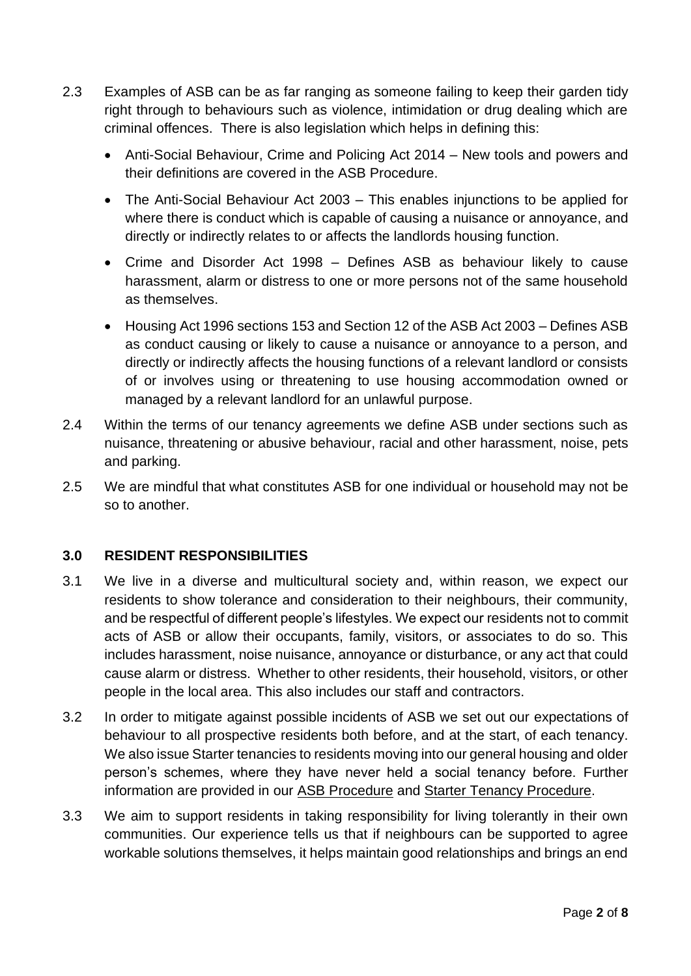- 2.3 Examples of ASB can be as far ranging as someone failing to keep their garden tidy right through to behaviours such as violence, intimidation or drug dealing which are criminal offences. There is also legislation which helps in defining this:
	- Anti-Social Behaviour, Crime and Policing Act 2014 New tools and powers and their definitions are covered in the ASB Procedure.
	- The Anti-Social Behaviour Act 2003 This enables injunctions to be applied for where there is conduct which is capable of causing a nuisance or annoyance, and directly or indirectly relates to or affects the landlords housing function.
	- Crime and Disorder Act 1998 Defines ASB as behaviour likely to cause harassment, alarm or distress to one or more persons not of the same household as themselves.
	- Housing Act 1996 sections 153 and Section 12 of the ASB Act 2003 Defines ASB as conduct causing or likely to cause a nuisance or annoyance to a person, and directly or indirectly affects the housing functions of a relevant landlord or consists of or involves using or threatening to use housing accommodation owned or managed by a relevant landlord for an unlawful purpose.
- 2.4 Within the terms of our tenancy agreements we define ASB under sections such as nuisance, threatening or abusive behaviour, racial and other harassment, noise, pets and parking.
- 2.5 We are mindful that what constitutes ASB for one individual or household may not be so to another.

# **3.0 RESIDENT RESPONSIBILITIES**

- 3.1 We live in a diverse and multicultural society and, within reason, we expect our residents to show tolerance and consideration to their neighbours, their community, and be respectful of different people's lifestyles. We expect our residents not to commit acts of ASB or allow their occupants, family, visitors, or associates to do so. This includes harassment, noise nuisance, annoyance or disturbance, or any act that could cause alarm or distress. Whether to other residents, their household, visitors, or other people in the local area. This also includes our staff and contractors.
- 3.2 In order to mitigate against possible incidents of ASB we set out our expectations of behaviour to all prospective residents both before, and at the start, of each tenancy. We also issue Starter tenancies to residents moving into our general housing and older person's schemes, where they have never held a social tenancy before. Further information are provided in our ASB Procedure and Starter Tenancy Procedure.
- 3.3 We aim to support residents in taking responsibility for living tolerantly in their own communities. Our experience tells us that if neighbours can be supported to agree workable solutions themselves, it helps maintain good relationships and brings an end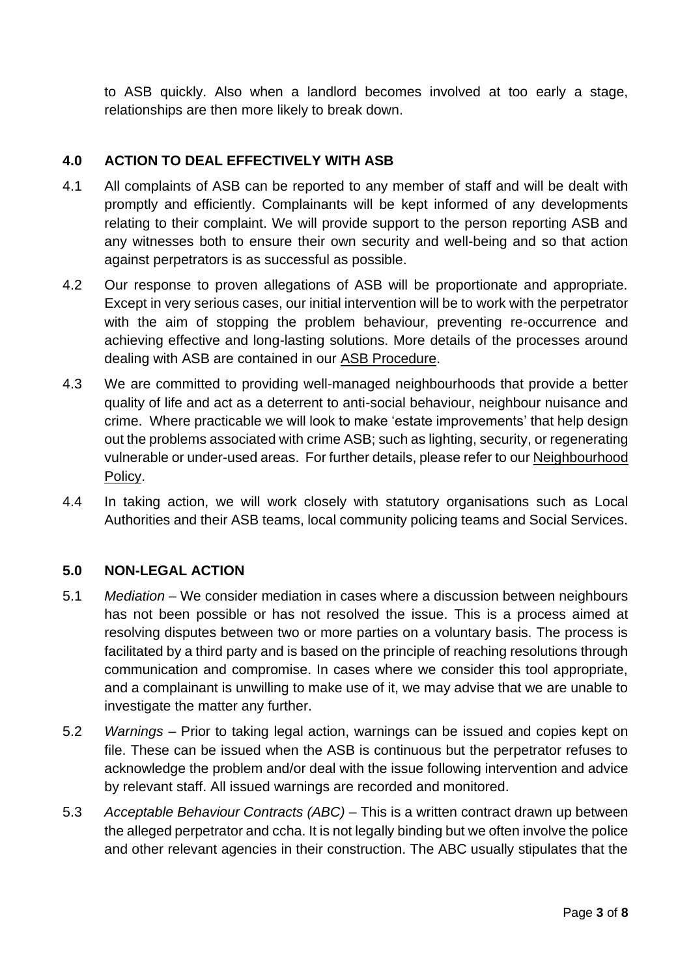to ASB quickly. Also when a landlord becomes involved at too early a stage, relationships are then more likely to break down.

## **4.0 ACTION TO DEAL EFFECTIVELY WITH ASB**

- 4.1 All complaints of ASB can be reported to any member of staff and will be dealt with promptly and efficiently. Complainants will be kept informed of any developments relating to their complaint. We will provide support to the person reporting ASB and any witnesses both to ensure their own security and well-being and so that action against perpetrators is as successful as possible.
- 4.2 Our response to proven allegations of ASB will be proportionate and appropriate. Except in very serious cases, our initial intervention will be to work with the perpetrator with the aim of stopping the problem behaviour, preventing re-occurrence and achieving effective and long-lasting solutions. More details of the processes around dealing with ASB are contained in our ASB Procedure.
- 4.3 We are committed to providing well-managed neighbourhoods that provide a better quality of life and act as a deterrent to anti-social behaviour, neighbour nuisance and crime. Where practicable we will look to make 'estate improvements' that help design out the problems associated with crime ASB; such as lighting, security, or regenerating vulnerable or under-used areas. For further details, please refer to our Neighbourhood Policy.
- 4.4 In taking action, we will work closely with statutory organisations such as Local Authorities and their ASB teams, local community policing teams and Social Services.

### **5.0 NON-LEGAL ACTION**

- 5.1 *Mediation* We consider mediation in cases where a discussion between neighbours has not been possible or has not resolved the issue. This is a process aimed at resolving disputes between two or more parties on a voluntary basis. The process is facilitated by a third party and is based on the principle of reaching resolutions through communication and compromise. In cases where we consider this tool appropriate, and a complainant is unwilling to make use of it, we may advise that we are unable to investigate the matter any further.
- 5.2 *Warnings* Prior to taking legal action, warnings can be issued and copies kept on file. These can be issued when the ASB is continuous but the perpetrator refuses to acknowledge the problem and/or deal with the issue following intervention and advice by relevant staff. All issued warnings are recorded and monitored.
- 5.3 *Acceptable Behaviour Contracts (ABC)* This is a written contract drawn up between the alleged perpetrator and ccha. It is not legally binding but we often involve the police and other relevant agencies in their construction. The ABC usually stipulates that the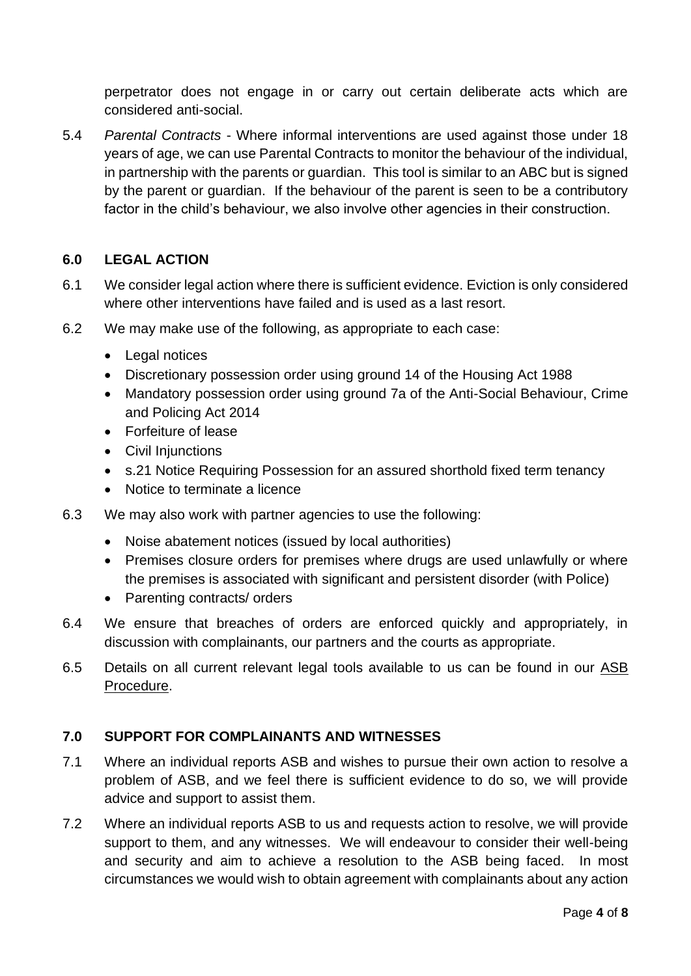perpetrator does not engage in or carry out certain deliberate acts which are considered anti-social.

5.4 *Parental Contracts* - Where informal interventions are used against those under 18 years of age, we can use Parental Contracts to monitor the behaviour of the individual, in partnership with the parents or guardian. This tool is similar to an ABC but is signed by the parent or guardian. If the behaviour of the parent is seen to be a contributory factor in the child's behaviour, we also involve other agencies in their construction.

# **6.0 LEGAL ACTION**

- 6.1 We consider legal action where there is sufficient evidence. Eviction is only considered where other interventions have failed and is used as a last resort.
- 6.2 We may make use of the following, as appropriate to each case:
	- Legal notices
	- Discretionary possession order using ground 14 of the Housing Act 1988
	- Mandatory possession order using ground 7a of the Anti-Social Behaviour, Crime and Policing Act 2014
	- Forfeiture of lease
	- Civil Injunctions
	- s.21 Notice Requiring Possession for an assured shorthold fixed term tenancy
	- Notice to terminate a licence
- 6.3 We may also work with partner agencies to use the following:
	- Noise abatement notices (issued by local authorities)
	- Premises closure orders for premises where drugs are used unlawfully or where the premises is associated with significant and persistent disorder (with Police)
	- Parenting contracts/ orders
- 6.4 We ensure that breaches of orders are enforced quickly and appropriately, in discussion with complainants, our partners and the courts as appropriate.
- 6.5 Details on all current relevant legal tools available to us can be found in our ASB Procedure.

### **7.0 SUPPORT FOR COMPLAINANTS AND WITNESSES**

- 7.1 Where an individual reports ASB and wishes to pursue their own action to resolve a problem of ASB, and we feel there is sufficient evidence to do so, we will provide advice and support to assist them.
- 7.2 Where an individual reports ASB to us and requests action to resolve, we will provide support to them, and any witnesses. We will endeavour to consider their well-being and security and aim to achieve a resolution to the ASB being faced. In most circumstances we would wish to obtain agreement with complainants about any action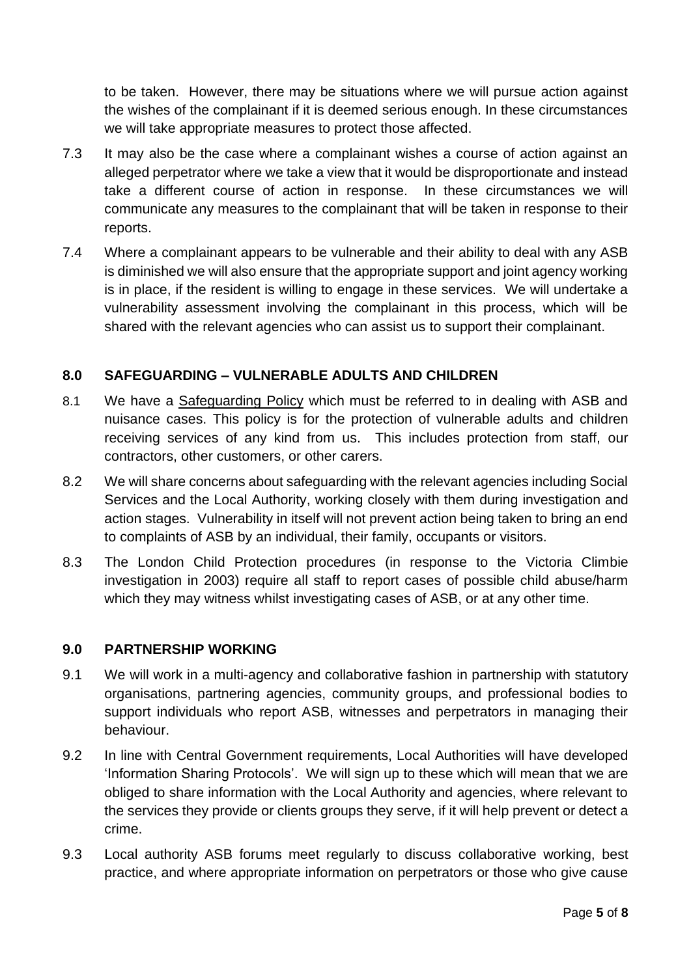to be taken. However, there may be situations where we will pursue action against the wishes of the complainant if it is deemed serious enough. In these circumstances we will take appropriate measures to protect those affected.

- 7.3 It may also be the case where a complainant wishes a course of action against an alleged perpetrator where we take a view that it would be disproportionate and instead take a different course of action in response. In these circumstances we will communicate any measures to the complainant that will be taken in response to their reports.
- 7.4 Where a complainant appears to be vulnerable and their ability to deal with any ASB is diminished we will also ensure that the appropriate support and joint agency working is in place, if the resident is willing to engage in these services. We will undertake a vulnerability assessment involving the complainant in this process, which will be shared with the relevant agencies who can assist us to support their complainant.

# **8.0 SAFEGUARDING – VULNERABLE ADULTS AND CHILDREN**

- 8.1 We have a Safeguarding Policy which must be referred to in dealing with ASB and nuisance cases. This policy is for the protection of vulnerable adults and children receiving services of any kind from us. This includes protection from staff, our contractors, other customers, or other carers.
- 8.2 We will share concerns about safeguarding with the relevant agencies including Social Services and the Local Authority, working closely with them during investigation and action stages. Vulnerability in itself will not prevent action being taken to bring an end to complaints of ASB by an individual, their family, occupants or visitors.
- 8.3 The London Child Protection procedures (in response to the Victoria Climbie investigation in 2003) require all staff to report cases of possible child abuse/harm which they may witness whilst investigating cases of ASB, or at any other time.

### **9.0 PARTNERSHIP WORKING**

- 9.1 We will work in a multi-agency and collaborative fashion in partnership with statutory organisations, partnering agencies, community groups, and professional bodies to support individuals who report ASB, witnesses and perpetrators in managing their behaviour.
- 9.2 In line with Central Government requirements, Local Authorities will have developed 'Information Sharing Protocols'. We will sign up to these which will mean that we are obliged to share information with the Local Authority and agencies, where relevant to the services they provide or clients groups they serve, if it will help prevent or detect a crime.
- 9.3 Local authority ASB forums meet regularly to discuss collaborative working, best practice, and where appropriate information on perpetrators or those who give cause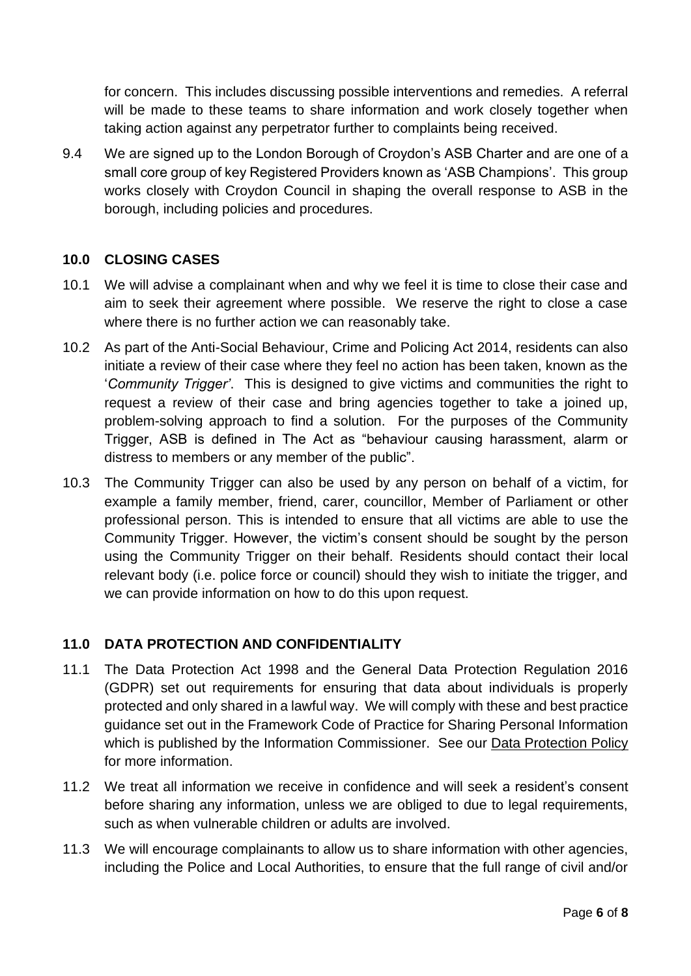for concern. This includes discussing possible interventions and remedies. A referral will be made to these teams to share information and work closely together when taking action against any perpetrator further to complaints being received.

9.4 We are signed up to the London Borough of Croydon's ASB Charter and are one of a small core group of key Registered Providers known as 'ASB Champions'. This group works closely with Croydon Council in shaping the overall response to ASB in the borough, including policies and procedures.

## **10.0 CLOSING CASES**

- 10.1 We will advise a complainant when and why we feel it is time to close their case and aim to seek their agreement where possible. We reserve the right to close a case where there is no further action we can reasonably take.
- 10.2 As part of the Anti-Social Behaviour, Crime and Policing Act 2014, residents can also initiate a review of their case where they feel no action has been taken, known as the '*Community Trigger'*. This is designed to give victims and communities the right to request a review of their case and bring agencies together to take a joined up, problem-solving approach to find a solution. For the purposes of the Community Trigger, ASB is defined in The Act as "behaviour causing harassment, alarm or distress to members or any member of the public".
- 10.3 The Community Trigger can also be used by any person on behalf of a victim, for example a family member, friend, carer, councillor, Member of Parliament or other professional person. This is intended to ensure that all victims are able to use the Community Trigger. However, the victim's consent should be sought by the person using the Community Trigger on their behalf. Residents should contact their local relevant body (i.e. police force or council) should they wish to initiate the trigger, and we can provide information on how to do this upon request.

# **11.0 DATA PROTECTION AND CONFIDENTIALITY**

- 11.1 The Data Protection Act 1998 and the General Data Protection Regulation 2016 (GDPR) set out requirements for ensuring that data about individuals is properly protected and only shared in a lawful way. We will comply with these and best practice guidance set out in the Framework Code of Practice for Sharing Personal Information which is published by the Information Commissioner. See our Data Protection Policy for more information.
- 11.2 We treat all information we receive in confidence and will seek a resident's consent before sharing any information, unless we are obliged to due to legal requirements, such as when vulnerable children or adults are involved.
- 11.3 We will encourage complainants to allow us to share information with other agencies, including the Police and Local Authorities, to ensure that the full range of civil and/or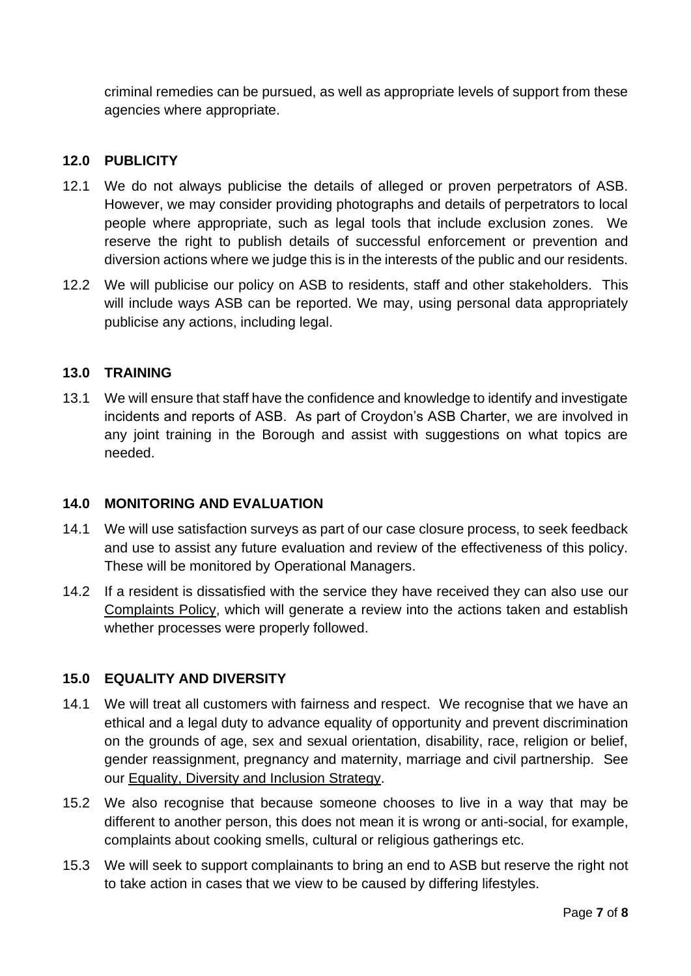criminal remedies can be pursued, as well as appropriate levels of support from these agencies where appropriate.

## **12.0 PUBLICITY**

- 12.1 We do not always publicise the details of alleged or proven perpetrators of ASB. However, we may consider providing photographs and details of perpetrators to local people where appropriate, such as legal tools that include exclusion zones. We reserve the right to publish details of successful enforcement or prevention and diversion actions where we judge this is in the interests of the public and our residents.
- 12.2 We will publicise our policy on ASB to residents, staff and other stakeholders. This will include ways ASB can be reported. We may, using personal data appropriately publicise any actions, including legal.

### **13.0 TRAINING**

13.1 We will ensure that staff have the confidence and knowledge to identify and investigate incidents and reports of ASB. As part of Croydon's ASB Charter, we are involved in any joint training in the Borough and assist with suggestions on what topics are needed.

#### **14.0 MONITORING AND EVALUATION**

- 14.1 We will use satisfaction surveys as part of our case closure process, to seek feedback and use to assist any future evaluation and review of the effectiveness of this policy. These will be monitored by Operational Managers.
- 14.2 If a resident is dissatisfied with the service they have received they can also use our Complaints Policy, which will generate a review into the actions taken and establish whether processes were properly followed.

### **15.0 EQUALITY AND DIVERSITY**

- 14.1 We will treat all customers with fairness and respect. We recognise that we have an ethical and a legal duty to advance equality of opportunity and prevent discrimination on the grounds of age, sex and sexual orientation, disability, race, religion or belief, gender reassignment, pregnancy and maternity, marriage and civil partnership. See our Equality, Diversity and Inclusion Strategy.
- 15.2 We also recognise that because someone chooses to live in a way that may be different to another person, this does not mean it is wrong or anti-social, for example, complaints about cooking smells, cultural or religious gatherings etc.
- 15.3 We will seek to support complainants to bring an end to ASB but reserve the right not to take action in cases that we view to be caused by differing lifestyles.